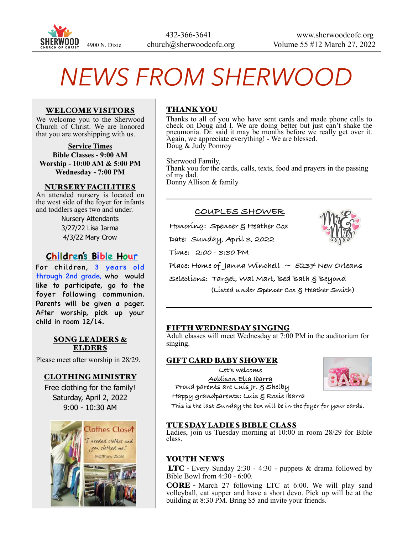

# *NEWS FROM SHERWOOD*

#### WELCOME VISITORS

We welcome you to the Sherwood Church of Christ. We are honored that you are worshipping with us.

**Service Times Bible Classes - 9:00 AM Worship - 10:00 AM & 5:00 PM Wednesday - 7:00 PM**

#### NURSERY FACILITIES

An attended nursery is located on the west side of the foyer for infants and toddlers ages two and under.

> Nursery Attendants 3/27/22 Lisa Jarma 4/3/22 Mary Crow

## **Children's Bible Hour**

For children, 3 years old through 2nd grade, who would like to participate, go to the foyer following communion. Parents will be given a pager. After worship, pick up your child in room 12/14.

#### SONG LEADERS & ELDERS

Please meet after worship in 28/29.

#### CLOTHING MINISTRY

Free clothing for the family! Saturday, April 2, 2022 9:00 - 10:30 AM



## THANK YOU

Thanks to all of you who have sent cards and made phone calls to check on Doug and I. We are doing better but just can't shake the pneumonia. Dr. said it may be months before we really get over it. Again, we appreciate everything! - We are blessed. Doug & Judy Pomroy

Sherwood Family, Thank you for the cards, calls, texts, food and prayers in the passing of my dad. Donny Allison & family

#### **COUPLES SHOWER**

**Honoring: Spencer & Heather Cox**

**Date: Sunday, April 3, 2022** 



**Time: 2:00 - 3:30 PM**

**Place: Home of Janna Winchell ~ 5237 New Orleans**

**Selections: Target, Wal Mart, Bed Bath & Beyond (Listed under Spencer Cox & Heather Smith)**

#### FIFTH WEDNESDAY SINGING

Adult classes will meet Wednesday at 7:00 PM in the auditorium for singing.

#### GIFT CARD BABY SHOWER

**Let's welcome** 

**Addison Ella Ibarra Proud parents are Luis Jr. & Shelby Happy grandparents: Luis & Rosie Ibarra**



 **This is the last Sunday the box will be in the foyer for your cards.**

#### TUESDAY LADIES BIBLE CLASS

Ladies, join us Tuesday morning at 10:00 in room 28/29 for Bible class.

#### YOUTH NEWS

 LTC - Every Sunday 2:30 - 4:30 - puppets & drama followed by Bible Bowl from 4:30 - 6:00.

CORE - March 27 following LTC at 6:00. We will play sand volleyball, eat supper and have a short devo. Pick up will be at the building at 8:30 PM. Bring \$5 and invite your friends.